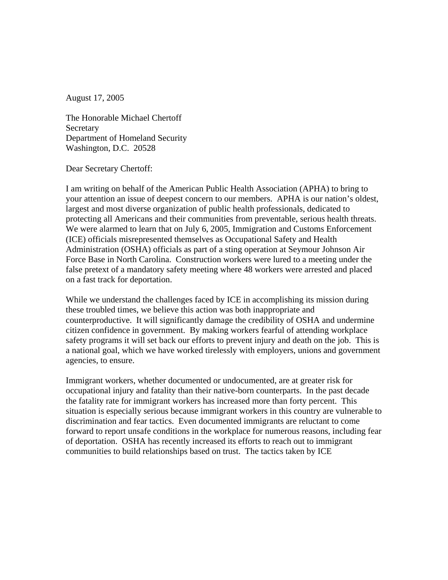August 17, 2005

The Honorable Michael Chertoff **Secretary** Department of Homeland Security Washington, D.C. 20528

Dear Secretary Chertoff:

I am writing on behalf of the American Public Health Association (APHA) to bring to your attention an issue of deepest concern to our members. APHA is our nation's oldest, largest and most diverse organization of public health professionals, dedicated to protecting all Americans and their communities from preventable, serious health threats. We were alarmed to learn that on July 6, 2005, Immigration and Customs Enforcement (ICE) officials misrepresented themselves as Occupational Safety and Health Administration (OSHA) officials as part of a sting operation at Seymour Johnson Air Force Base in North Carolina. Construction workers were lured to a meeting under the false pretext of a mandatory safety meeting where 48 workers were arrested and placed on a fast track for deportation.

While we understand the challenges faced by ICE in accomplishing its mission during these troubled times, we believe this action was both inappropriate and counterproductive. It will significantly damage the credibility of OSHA and undermine citizen confidence in government. By making workers fearful of attending workplace safety programs it will set back our efforts to prevent injury and death on the job. This is a national goal, which we have worked tirelessly with employers, unions and government agencies, to ensure.

Immigrant workers, whether documented or undocumented, are at greater risk for occupational injury and fatality than their native-born counterparts. In the past decade the fatality rate for immigrant workers has increased more than forty percent. This situation is especially serious because immigrant workers in this country are vulnerable to discrimination and fear tactics. Even documented immigrants are reluctant to come forward to report unsafe conditions in the workplace for numerous reasons, including fear of deportation. OSHA has recently increased its efforts to reach out to immigrant communities to build relationships based on trust. The tactics taken by ICE